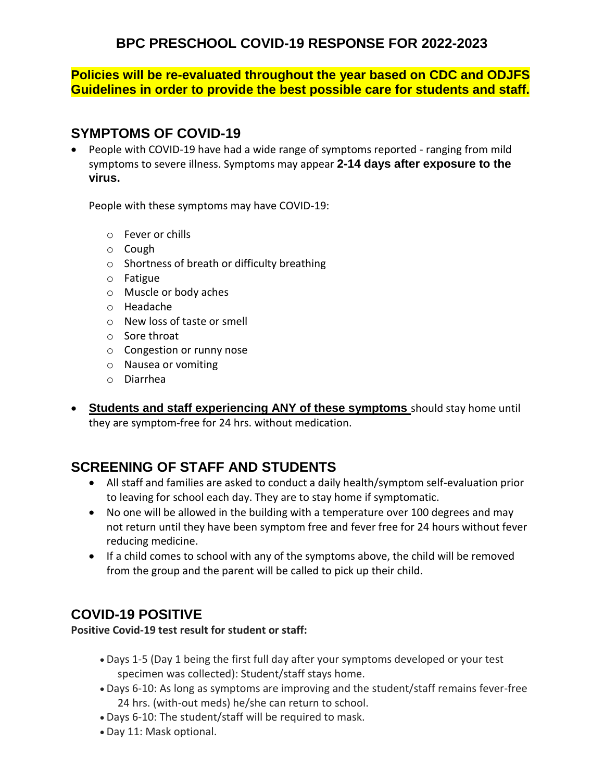**BPC PRESCHOOL COVID-19 RESPONSE FOR 2022-2023**

**Policies will be re-evaluated throughout the year based on CDC and ODJFS Guidelines in order to provide the best possible care for students and staff.**

#### **SYMPTOMS OF COVID-19**

 People with COVID-19 have had a wide range of symptoms reported - ranging from mild symptoms to severe illness. Symptoms may appear **2-14 days after exposure to the virus.** 

People with these symptoms may have COVID-19:

- o Fever or chills
- o Cough
- o Shortness of breath or difficulty breathing
- o Fatigue
- o Muscle or body aches
- o Headache
- o New loss of taste or smell
- o Sore throat
- o Congestion or runny nose
- o Nausea or vomiting
- o Diarrhea
- **Students and staff experiencing ANY of these symptoms** should stay home until they are symptom-free for 24 hrs. without medication.

# **SCREENING OF STAFF AND STUDENTS**

- All staff and families are asked to conduct a daily health/symptom self-evaluation prior to leaving for school each day. They are to stay home if symptomatic.
- No one will be allowed in the building with a temperature over 100 degrees and may not return until they have been symptom free and fever free for 24 hours without fever reducing medicine.
- If a child comes to school with any of the symptoms above, the child will be removed from the group and the parent will be called to pick up their child.

### **COVID-19 POSITIVE**

**Positive Covid-19 test result for student or staff:**

- Days 1-5 (Day 1 being the first full day after your symptoms developed or your test specimen was collected): Student/staff stays home.
- Days 6-10: As long as symptoms are improving and the student/staff remains fever-free 24 hrs. (with-out meds) he/she can return to school.
- Days 6-10: The student/staff will be required to mask.
- Day 11: Mask optional.